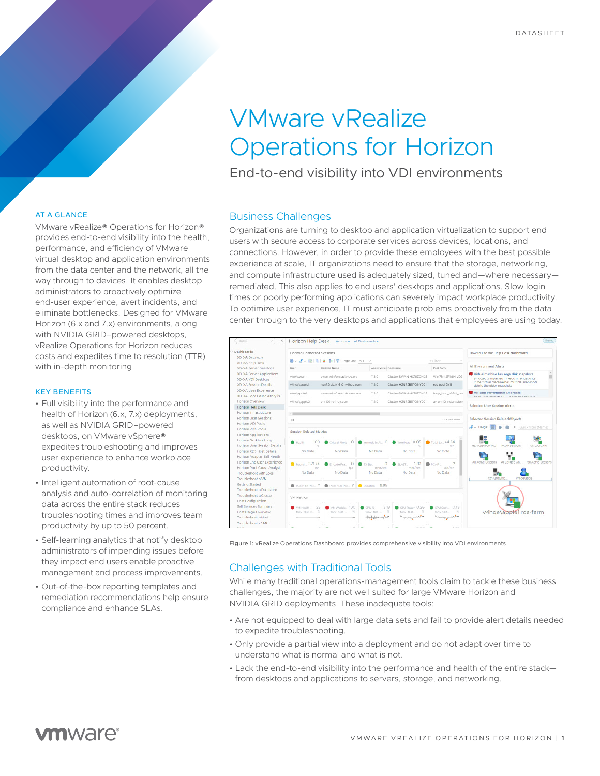# VMware vRealize Operations for Horizon

End-to-end visibility into VDI environments

#### AT A GLANCE

VMware vRealize® Operations for Horizon® provides end-to-end visibility into the health, performance, and efficiency of VMware virtual desktop and application environments from the data center and the network, all the way through to devices. It enables desktop administrators to proactively optimize end-user experience, avert incidents, and eliminate bottlenecks. Designed for VMware Horizon (6.x and 7.x) environments, along with NVIDIA GRID–powered desktops, vRealize Operations for Horizon reduces costs and expedites time to resolution (TTR) with in-depth monitoring.

#### KEY BENEFITS

- Full visibility into the performance and health of Horizon (6.x, 7.x) deployments, as well as NVIDIA GRID–powered desktops, on VMware vSphere® expedites troubleshooting and improves user experience to enhance workplace productivity.
- Intelligent automation of root-cause analysis and auto-correlation of monitoring data across the entire stack reduces troubleshooting times and improves team productivity by up to 50 percent.
- Self-learning analytics that notify desktop administrators of impending issues before they impact end users enable proactive management and process improvements.
- Out-of-the-box reporting templates and remediation recommendations help ensure compliance and enhance SLAs.

#### Business Challenges

Organizations are turning to desktop and application virtualization to support end users with secure access to corporate services across devices, locations, and connections. However, in order to provide these employees with the best possible experience at scale, IT organizations need to ensure that the storage, networking, and compute infrastructure used is adequately sized, tuned and—where necessary remediated. This also applies to end users' desktops and applications. Slow login times or poorly performing applications can severely impact workplace productivity. To optimize user experience, IT must anticipate problems proactively from the data center through to the very desktops and applications that employees are using today.



Figure 1: vRealize Operations Dashboard provides comprehensive visibility into VDI environments.

# Challenges with Traditional Tools

While many traditional operations-management tools claim to tackle these business challenges, the majority are not well suited for large VMware Horizon and NVIDIA GRID deployments. These inadequate tools:

- Are not equipped to deal with large data sets and fail to provide alert details needed to expedite troubleshooting.
- Only provide a partial view into a deployment and do not adapt over time to understand what is normal and what is not.
- Lack the end-to-end visibility into the performance and health of the entire stack from desktops and applications to servers, storage, and networking.

# **vm**ware<sup>®</sup>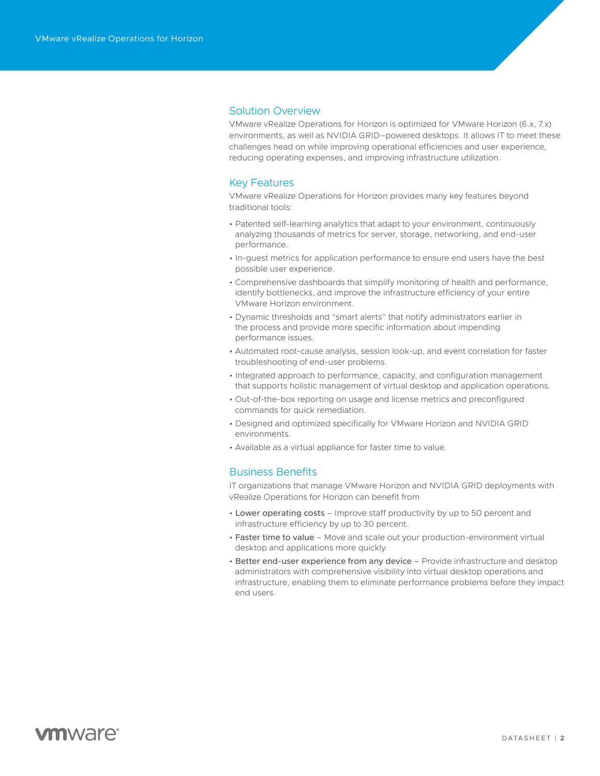# Solution Overview

VMware vRealize Operations for Horizon is optimized for VMware Horizon (6.x, 7.x) environments, as well as NVIDIA GRID–powered desktops. It allows IT to meet these challenges head on while improving operational efficiencies and user experience, reducing operating expenses, and improving infrastructure utilization.

# Key Features

VMware vRealize Operations for Horizon provides many key features beyond traditional tools:

- Patented self-learning analytics that adapt to your environment, continuously analyzing thousands of metrics for server, storage, networking, and end-user performance.
- In-guest metrics for application performance to ensure end users have the best possible user experience.
- Comprehensive dashboards that simplify monitoring of health and performance, identify bottlenecks, and improve the infrastructure efficiency of your entire VMware Horizon environment.
- Dynamic thresholds and "smart alerts" that notify administrators earlier in the process and provide more specific information about impending performance issues.
- Automated root-cause analysis, session look-up, and event correlation for faster troubleshooting of end-user problems.
- Integrated approach to performance, capacity, and configuration management that supports holistic management of virtual desktop and application operations.
- Out-of-the-box reporting on usage and license metrics and preconfigured commands for quick remediation.
- Designed and optimized specifically for VMware Horizon and NVIDIA GRID environments.
- Available as a virtual appliance for faster time to value.

### Business Benefits

IT organizations that manage VMware Horizon and NVIDIA GRID deployments with vRealize Operations for Horizon can benefit from

- Lower operating costs Improve staff productivity by up to 50 percent and infrastructure efficiency by up to 30 percent.
- Faster time to value Move and scale out your production-environment virtual desktop and applications more quickly.
- Better end-user experience from any device Provide infrastructure and desktop administrators with comprehensive visibility into virtual desktop operations and infrastructure, enabling them to eliminate performance problems before they impact end users.

# **vm**ware<sup>®</sup>